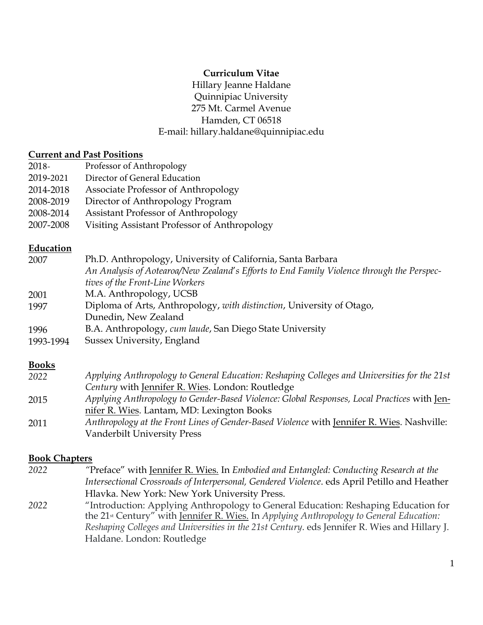## **Curriculum Vitae**

Hillary Jeanne Haldane Quinnipiac University 275 Mt. Carmel Avenue Hamden, CT 06518 E-mail: hillary.haldane@quinnipiac.edu

#### **Current and Past Positions**

| 2018-     | Professor of Anthropology                    |
|-----------|----------------------------------------------|
| 2019-2021 | Director of General Education                |
| 2014-2018 | Associate Professor of Anthropology          |
| 2008-2019 | Director of Anthropology Program             |
| 2008-2014 | Assistant Professor of Anthropology          |
| 2007-2008 | Visiting Assistant Professor of Anthropology |

#### **Education**

| 2007      | Ph.D. Anthropology, University of California, Santa Barbara                               |
|-----------|-------------------------------------------------------------------------------------------|
|           | An Analysis of Aotearoa/New Zealand's Efforts to End Family Violence through the Perspec- |
|           | tives of the Front-Line Workers                                                           |
| 2001      | M.A. Anthropology, UCSB                                                                   |
| 1997      | Diploma of Arts, Anthropology, with distinction, University of Otago,                     |
|           | Dunedin, New Zealand                                                                      |
| 1996      | B.A. Anthropology, cum laude, San Diego State University                                  |
| 1993-1994 | Sussex University, England                                                                |
|           |                                                                                           |
|           |                                                                                           |

#### **Books**

| 2022 | Applying Anthropology to General Education: Reshaping Colleges and Universities for the 21st |
|------|----------------------------------------------------------------------------------------------|
|      | Century with Jennifer R. Wies. London: Routledge                                             |
| 2015 | Applying Anthropology to Gender-Based Violence: Global Responses, Local Practices with Jen-  |
|      | nifer R. Wies. Lantam, MD: Lexington Books                                                   |
| 2011 | Anthropology at the Front Lines of Gender-Based Violence with Jennifer R. Wies. Nashville:   |
|      | Vanderbilt University Press                                                                  |

#### **Book Chapters**

*2022 "*Preface" with Jennifer R. Wies*.* In *Embodied and Entangled: Conducting Research at the Intersectional Crossroads of Interpersonal, Gendered Violence*. eds April Petillo and Heather Hlavka. New York: New York University Press. *2022* "Introduction: Applying Anthropology to General Education: Reshaping Education for the 21st Century" with Jennifer R. Wies. In *Applying Anthropology to General Education:* 

*Reshaping Colleges and Universities in the 21st Century*. eds Jennifer R. Wies and Hillary J. Haldane. London: Routledge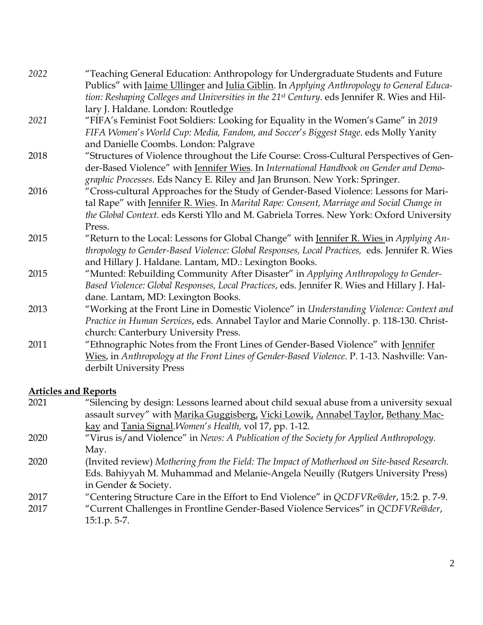| 2022 | "Teaching General Education: Anthropology for Undergraduate Students and Future                          |
|------|----------------------------------------------------------------------------------------------------------|
|      | Publics" with Jaime Ullinger and Julia Giblin. In Applying Anthropology to General Educa-                |
|      | tion: Reshaping Colleges and Universities in the 21 <sup>st</sup> Century. eds Jennifer R. Wies and Hil- |
|      | lary J. Haldane. London: Routledge                                                                       |
| 2021 | "FIFA's Feminist Foot Soldiers: Looking for Equality in the Women's Game" in 2019                        |
|      | FIFA Women's World Cup: Media, Fandom, and Soccer's Biggest Stage. eds Molly Yanity                      |
|      | and Danielle Coombs. London: Palgrave                                                                    |
| 2018 | "Structures of Violence throughout the Life Course: Cross-Cultural Perspectives of Gen-                  |
|      | der-Based Violence" with Jennifer Wies. In International Handbook on Gender and Demo-                    |
|      | graphic Processes. Eds Nancy E. Riley and Jan Brunson. New York: Springer.                               |
| 2016 | "Cross-cultural Approaches for the Study of Gender-Based Violence: Lessons for Mari-                     |
|      | tal Rape" with Jennifer R. Wies. In Marital Rape: Consent, Marriage and Social Change in                 |
|      | the Global Context. eds Kersti Yllo and M. Gabriela Torres. New York: Oxford University                  |
|      | Press.                                                                                                   |
| 2015 | "Return to the Local: Lessons for Global Change" with Jennifer R. Wies in Applying An-                   |
|      | thropology to Gender-Based Violence: Global Responses, Local Practices, eds. Jennifer R. Wies            |
|      | and Hillary J. Haldane. Lantam, MD.: Lexington Books.                                                    |
| 2015 | "Munted: Rebuilding Community After Disaster" in Applying Anthropology to Gender-                        |
|      | Based Violence: Global Responses, Local Practices, eds. Jennifer R. Wies and Hillary J. Hal-             |
|      | dane. Lantam, MD: Lexington Books.                                                                       |
| 2013 | "Working at the Front Line in Domestic Violence" in Understanding Violence: Context and                  |
|      | Practice in Human Services, eds. Annabel Taylor and Marie Connolly. p. 118-130. Christ-                  |
|      | church: Canterbury University Press.                                                                     |
| 2011 | "Ethnographic Notes from the Front Lines of Gender-Based Violence" with Jennifer                         |
|      | Wies, in Anthropology at the Front Lines of Gender-Based Violence. P. 1-13. Nashville: Van-              |
|      | derbilt University Press                                                                                 |

# **Articles and Reports**

| 2021 | "Silencing by design: Lessons learned about child sexual abuse from a university sexual     |
|------|---------------------------------------------------------------------------------------------|
|      | assault survey" with Marika Guggisberg, Vicki Lowik, Annabel Taylor, Bethany Mac-           |
|      | kay and Tania Signal. Women's Health, vol 17, pp. 1-12.                                     |
| 2020 | "Virus is/and Violence" in News: A Publication of the Society for Applied Anthropology.     |
|      | May.                                                                                        |
| 2020 | (Invited review) Mothering from the Field: The Impact of Motherhood on Site-based Research. |
|      | Eds. Bahiyyah M. Muhammad and Melanie-Angela Neuilly (Rutgers University Press)             |
|      | in Gender & Society.                                                                        |
| 2017 | "Centering Structure Care in the Effort to End Violence" in QCDFVRe@der, 15:2. p. 7-9.      |
| 2017 | "Current Challenges in Frontline Gender-Based Violence Services" in QCDFVRe@der,            |
|      | $15:1.p.5-7.$                                                                               |
|      |                                                                                             |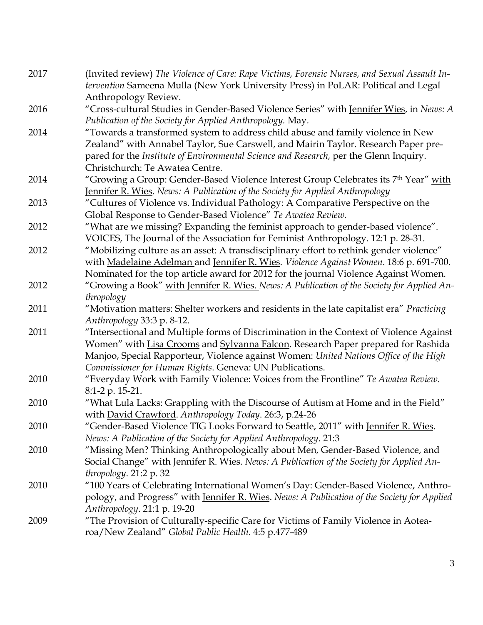| 2017 | (Invited review) The Violence of Care: Rape Victims, Forensic Nurses, and Sexual Assault In-<br>tervention Sameena Mulla (New York University Press) in PoLAR: Political and Legal |
|------|------------------------------------------------------------------------------------------------------------------------------------------------------------------------------------|
|      | Anthropology Review.                                                                                                                                                               |
| 2016 | "Cross-cultural Studies in Gender-Based Violence Series" with Jennifer Wies, in News: A<br>Publication of the Society for Applied Anthropology. May.                               |
| 2014 | "Towards a transformed system to address child abuse and family violence in New                                                                                                    |
|      | Zealand" with Annabel Taylor, Sue Carswell, and Mairin Taylor. Research Paper pre-                                                                                                 |
|      | pared for the Institute of Environmental Science and Research, per the Glenn Inquiry.                                                                                              |
|      | Christchurch: Te Awatea Centre.                                                                                                                                                    |
| 2014 | "Growing a Group: Gender-Based Violence Interest Group Celebrates its 7th Year" with<br>Jennifer R. Wies. News: A Publication of the Society for Applied Anthropology              |
| 2013 | "Cultures of Violence vs. Individual Pathology: A Comparative Perspective on the                                                                                                   |
|      | Global Response to Gender-Based Violence" Te Awatea Review.                                                                                                                        |
| 2012 | "What are we missing? Expanding the feminist approach to gender-based violence".                                                                                                   |
|      | VOICES, The Journal of the Association for Feminist Anthropology. 12:1 p. 28-31.                                                                                                   |
| 2012 | "Mobilizing culture as an asset: A transdisciplinary effort to rethink gender violence"                                                                                            |
|      | with Madelaine Adelman and Jennifer R. Wies. Violence Against Women. 18:6 p. 691-700.                                                                                              |
|      | Nominated for the top article award for 2012 for the journal Violence Against Women.                                                                                               |
| 2012 | "Growing a Book" with Jennifer R. Wies. News: A Publication of the Society for Applied An-                                                                                         |
|      | thropology                                                                                                                                                                         |
| 2011 | "Motivation matters: Shelter workers and residents in the late capitalist era" Practicing                                                                                          |
|      | Anthropology 33:3 p. 8-12.                                                                                                                                                         |
| 2011 | "Intersectional and Multiple forms of Discrimination in the Context of Violence Against                                                                                            |
|      | Women" with Lisa Crooms and Sylvanna Falcon. Research Paper prepared for Rashida<br>Manjoo, Special Rapporteur, Violence against Women: United Nations Office of the High          |
|      | Commissioner for Human Rights. Geneva: UN Publications.                                                                                                                            |
| 2010 | "Everyday Work with Family Violence: Voices from the Frontline" Te Awatea Review.                                                                                                  |
|      | 8:1-2 p. 15-21.                                                                                                                                                                    |
| 2010 | "What Lula Lacks: Grappling with the Discourse of Autism at Home and in the Field"<br>with David Crawford. Anthropology Today. 26:3, p.24-26                                       |
| 2010 | 'Gender-Based Violence TIG Looks Forward to Seattle, 2011" with Jennifer R. Wies.                                                                                                  |
|      | News: A Publication of the Society for Applied Anthropology. 21:3                                                                                                                  |
| 2010 | "Missing Men? Thinking Anthropologically about Men, Gender-Based Violence, and                                                                                                     |
|      | Social Change" with Jennifer R. Wies. News: A Publication of the Society for Applied An-                                                                                           |
|      | thropology. 21:2 p. 32                                                                                                                                                             |
| 2010 | "100 Years of Celebrating International Women's Day: Gender-Based Violence, Anthro-                                                                                                |
|      | pology, and Progress" with Jennifer R. Wies. News: A Publication of the Society for Applied                                                                                        |
|      | Anthropology. 21:1 p. 19-20                                                                                                                                                        |
| 2009 | "The Provision of Culturally-specific Care for Victims of Family Violence in Aotea-                                                                                                |
|      | roa/New Zealand" Global Public Health. 4:5 p.477-489                                                                                                                               |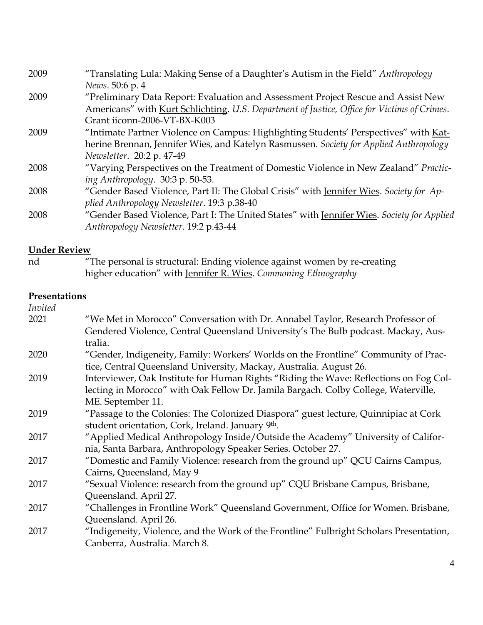| 2009 | "Translating Lula: Making Sense of a Daughter's Autism in the Field" Anthropology           |
|------|---------------------------------------------------------------------------------------------|
|      | News. 50:6 p. 4                                                                             |
| 2009 | "Preliminary Data Report: Evaluation and Assessment Project Rescue and Assist New           |
|      | Americans" with Kurt Schlichting. U.S. Department of Justice, Office for Victims of Crimes. |
|      | Grant iiconn-2006-VT-BX-K003                                                                |
| 2009 | "Intimate Partner Violence on Campus: Highlighting Students' Perspectives" with Kat-        |
|      | herine Brennan, Jennifer Wies, and Katelyn Rasmussen. Society for Applied Anthropology      |
|      | Newsletter. 20:2 p. 47-49                                                                   |
| 2008 | "Varying Perspectives on the Treatment of Domestic Violence in New Zealand" Practic-        |
|      | ing Anthropology. 30:3 p. 50-53.                                                            |
| 2008 | "Gender Based Violence, Part II: The Global Crisis" with Jennifer Wies. Society for Ap-     |
|      | plied Anthropology Newsletter. 19:3 p.38-40                                                 |
| 2008 | "Gender Based Violence, Part I: The United States" with Jennifer Wies. Society for Applied  |
|      | Anthropology Newsletter. 19:2 p.43-44                                                       |
|      |                                                                                             |

# **Under Review**

 $\overline{N}$ The personal is structural: Ending violence against women by re-creating higher education" with Jennifer R. Wies. *Commoning Ethnography*

# **Presentations**

| Invited |                                                                                         |
|---------|-----------------------------------------------------------------------------------------|
| 2021    | "We Met in Morocco" Conversation with Dr. Annabel Taylor, Research Professor of         |
|         | Gendered Violence, Central Queensland University's The Bulb podcast. Mackay, Aus-       |
|         | tralia.                                                                                 |
| 2020    | "Gender, Indigeneity, Family: Workers' Worlds on the Frontline" Community of Prac-      |
|         | tice, Central Queensland University, Mackay, Australia. August 26.                      |
| 2019    | Interviewer, Oak Institute for Human Rights "Riding the Wave: Reflections on Fog Col-   |
|         | lecting in Morocco" with Oak Fellow Dr. Jamila Bargach. Colby College, Waterville,      |
|         | ME. September 11.                                                                       |
| 2019    | "Passage to the Colonies: The Colonized Diaspora" guest lecture, Quinnipiac at Cork     |
|         | student orientation, Cork, Ireland. January 9th.                                        |
| 2017    | "Applied Medical Anthropology Inside/Outside the Academy" University of Califor-        |
|         | nia, Santa Barbara, Anthropology Speaker Series. October 27.                            |
| 2017    | "Domestic and Family Violence: research from the ground up" QCU Cairns Campus,          |
|         | Cairns, Queensland, May 9                                                               |
| 2017    | "Sexual Violence: research from the ground up" CQU Brisbane Campus, Brisbane,           |
|         | Queensland. April 27.                                                                   |
| 2017    | "Challenges in Frontline Work" Queensland Government, Office for Women. Brisbane,       |
|         | Queensland. April 26.                                                                   |
| 2017    | "Indigeneity, Violence, and the Work of the Frontline" Fulbright Scholars Presentation, |
|         | Canberra, Australia. March 8.                                                           |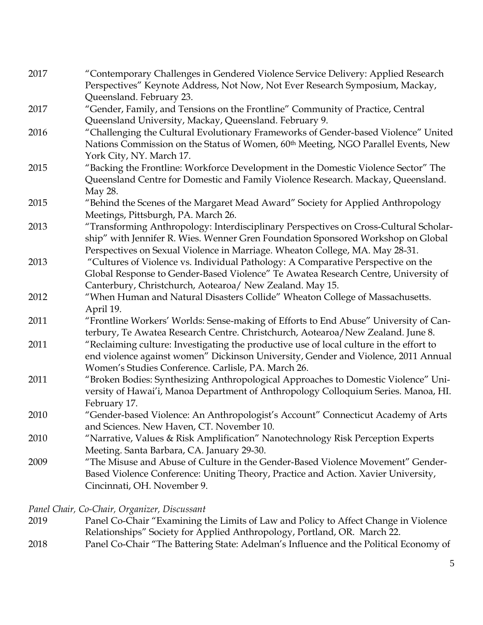| 2017 | "Contemporary Challenges in Gendered Violence Service Delivery: Applied Research        |
|------|-----------------------------------------------------------------------------------------|
|      | Perspectives" Keynote Address, Not Now, Not Ever Research Symposium, Mackay,            |
|      | Queensland. February 23.                                                                |
| 2017 | "Gender, Family, and Tensions on the Frontline" Community of Practice, Central          |
|      | Queensland University, Mackay, Queensland. February 9.                                  |
| 2016 | "Challenging the Cultural Evolutionary Frameworks of Gender-based Violence" United      |
|      | Nations Commission on the Status of Women, 60th Meeting, NGO Parallel Events, New       |
|      | York City, NY. March 17.                                                                |
| 2015 | "Backing the Frontline: Workforce Development in the Domestic Violence Sector" The      |
|      | Queensland Centre for Domestic and Family Violence Research. Mackay, Queensland.        |
|      | May 28.                                                                                 |
| 2015 | "Behind the Scenes of the Margaret Mead Award" Society for Applied Anthropology         |
|      | Meetings, Pittsburgh, PA. March 26.                                                     |
| 2013 | "Transforming Anthropology: Interdisciplinary Perspectives on Cross-Cultural Scholar-   |
|      | ship" with Jennifer R. Wies. Wenner Gren Foundation Sponsored Workshop on Global        |
|      | Perspectives on Sexual Violence in Marriage. Wheaton College, MA. May 28-31.            |
| 2013 | "Cultures of Violence vs. Individual Pathology: A Comparative Perspective on the        |
|      | Global Response to Gender-Based Violence" Te Awatea Research Centre, University of      |
|      | Canterbury, Christchurch, Aotearoa/ New Zealand. May 15.                                |
| 2012 | "When Human and Natural Disasters Collide" Wheaton College of Massachusetts.            |
|      | April 19.                                                                               |
| 2011 | "Frontline Workers' Worlds: Sense-making of Efforts to End Abuse" University of Can-    |
|      | terbury, Te Awatea Research Centre. Christchurch, Aotearoa/New Zealand. June 8.         |
| 2011 | "Reclaiming culture: Investigating the productive use of local culture in the effort to |
|      | end violence against women" Dickinson University, Gender and Violence, 2011 Annual      |
|      | Women's Studies Conference. Carlisle, PA. March 26.                                     |
| 2011 | "Broken Bodies: Synthesizing Anthropological Approaches to Domestic Violence" Uni-      |
|      | versity of Hawai'i, Manoa Department of Anthropology Colloquium Series. Manoa, HI.      |
|      | February 17.                                                                            |
| 2010 | "Gender-based Violence: An Anthropologist's Account" Connecticut Academy of Arts        |
|      | and Sciences. New Haven, CT. November 10.                                               |
| 2010 | "Narrative, Values & Risk Amplification" Nanotechnology Risk Perception Experts         |
|      | Meeting. Santa Barbara, CA. January 29-30.                                              |
| 2009 | "The Misuse and Abuse of Culture in the Gender-Based Violence Movement" Gender-         |
|      | Based Violence Conference: Uniting Theory, Practice and Action. Xavier University,      |
|      | Cincinnati, OH. November 9.                                                             |
|      |                                                                                         |

*Panel Chair, Co-Chair, Organizer, Discussant*

- 2019 Panel Co-Chair "Examining the Limits of Law and Policy to Affect Change in Violence Relationships" Society for Applied Anthropology, Portland, OR. March 22.
- 2018 Panel Co-Chair "The Battering State: Adelman's Influence and the Political Economy of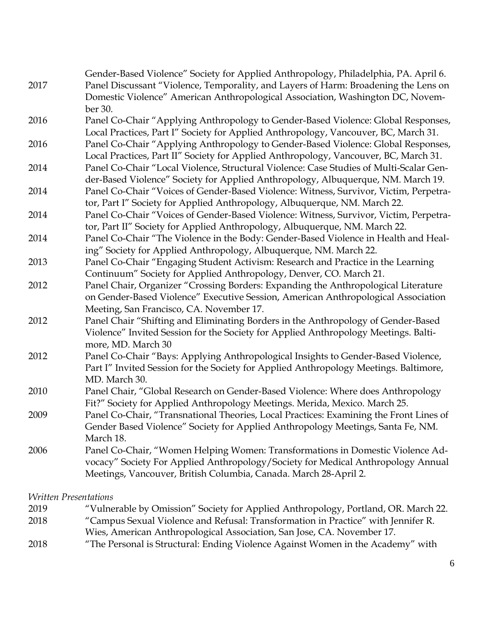|      | Gender-Based Violence" Society for Applied Anthropology, Philadelphia, PA. April 6.                                                                                |
|------|--------------------------------------------------------------------------------------------------------------------------------------------------------------------|
| 2017 | Panel Discussant "Violence, Temporality, and Layers of Harm: Broadening the Lens on                                                                                |
|      | Domestic Violence" American Anthropological Association, Washington DC, Novem-                                                                                     |
|      | ber 30.                                                                                                                                                            |
| 2016 | Panel Co-Chair "Applying Anthropology to Gender-Based Violence: Global Responses,                                                                                  |
|      | Local Practices, Part I" Society for Applied Anthropology, Vancouver, BC, March 31.                                                                                |
| 2016 | Panel Co-Chair "Applying Anthropology to Gender-Based Violence: Global Responses,                                                                                  |
|      | Local Practices, Part II" Society for Applied Anthropology, Vancouver, BC, March 31.                                                                               |
| 2014 | Panel Co-Chair "Local Violence, Structural Violence: Case Studies of Multi-Scalar Gen-                                                                             |
|      | der-Based Violence" Society for Applied Anthropology, Albuquerque, NM. March 19.                                                                                   |
| 2014 | Panel Co-Chair "Voices of Gender-Based Violence: Witness, Survivor, Victim, Perpetra-                                                                              |
|      | tor, Part I" Society for Applied Anthropology, Albuquerque, NM. March 22.                                                                                          |
| 2014 | Panel Co-Chair "Voices of Gender-Based Violence: Witness, Survivor, Victim, Perpetra-                                                                              |
|      | tor, Part II" Society for Applied Anthropology, Albuquerque, NM. March 22.                                                                                         |
| 2014 | Panel Co-Chair "The Violence in the Body: Gender-Based Violence in Health and Heal-                                                                                |
|      | ing" Society for Applied Anthropology, Albuquerque, NM. March 22.                                                                                                  |
| 2013 | Panel Co-Chair "Engaging Student Activism: Research and Practice in the Learning                                                                                   |
|      | Continuum" Society for Applied Anthropology, Denver, CO. March 21.                                                                                                 |
| 2012 | Panel Chair, Organizer "Crossing Borders: Expanding the Anthropological Literature                                                                                 |
|      | on Gender-Based Violence" Executive Session, American Anthropological Association                                                                                  |
|      | Meeting, San Francisco, CA. November 17.                                                                                                                           |
| 2012 | Panel Chair "Shifting and Eliminating Borders in the Anthropology of Gender-Based                                                                                  |
|      | Violence" Invited Session for the Society for Applied Anthropology Meetings. Balti-                                                                                |
|      | more, MD. March 30                                                                                                                                                 |
| 2012 | Panel Co-Chair "Bays: Applying Anthropological Insights to Gender-Based Violence,                                                                                  |
|      | Part I" Invited Session for the Society for Applied Anthropology Meetings. Baltimore,                                                                              |
|      | MD. March 30.                                                                                                                                                      |
| 2010 | Panel Chair, "Global Research on Gender-Based Violence: Where does Anthropology                                                                                    |
|      | Fit?" Society for Applied Anthropology Meetings. Merida, Mexico. March 25.                                                                                         |
| 2009 | Panel Co-Chair, "Transnational Theories, Local Practices: Examining the Front Lines of                                                                             |
|      | Gender Based Violence" Society for Applied Anthropology Meetings, Santa Fe, NM.                                                                                    |
|      | March 18.                                                                                                                                                          |
| 2006 | Panel Co-Chair, "Women Helping Women: Transformations in Domestic Violence Ad-<br>vocacy" Society For Applied Anthropology/Society for Medical Anthropology Annual |
|      | Meetings, Vancouver, British Columbia, Canada. March 28-April 2.                                                                                                   |
|      |                                                                                                                                                                    |

*Written Presentations*

 "Vulnerable by Omission" Society for Applied Anthropology, Portland, OR. March 22. "Campus Sexual Violence and Refusal: Transformation in Practice" with Jennifer R. Wies, American Anthropological Association, San Jose, CA. November 17. "The Personal is Structural: Ending Violence Against Women in the Academy" with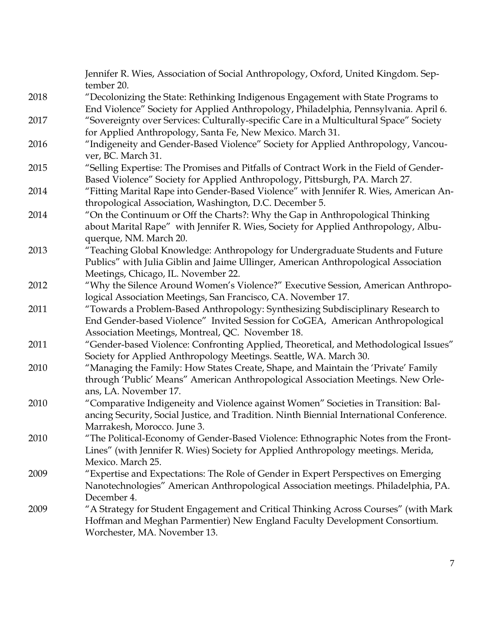|      | Jennifer R. Wies, Association of Social Anthropology, Oxford, United Kingdom. Sep-<br>tember 20.                                                                                                  |
|------|---------------------------------------------------------------------------------------------------------------------------------------------------------------------------------------------------|
| 2018 | "Decolonizing the State: Rethinking Indigenous Engagement with State Programs to<br>End Violence" Society for Applied Anthropology, Philadelphia, Pennsylvania. April 6.                          |
| 2017 | "Sovereignty over Services: Culturally-specific Care in a Multicultural Space" Society                                                                                                            |
| 2016 | for Applied Anthropology, Santa Fe, New Mexico. March 31.<br>"Indigeneity and Gender-Based Violence" Society for Applied Anthropology, Vancou-                                                    |
|      | ver, BC. March 31.                                                                                                                                                                                |
| 2015 | "Selling Expertise: The Promises and Pitfalls of Contract Work in the Field of Gender-                                                                                                            |
|      | Based Violence" Society for Applied Anthropology, Pittsburgh, PA. March 27.                                                                                                                       |
| 2014 | "Fitting Marital Rape into Gender-Based Violence" with Jennifer R. Wies, American An-<br>thropological Association, Washington, D.C. December 5.                                                  |
| 2014 | "On the Continuum or Off the Charts?: Why the Gap in Anthropological Thinking                                                                                                                     |
|      | about Marital Rape" with Jennifer R. Wies, Society for Applied Anthropology, Albu-                                                                                                                |
|      | querque, NM. March 20.                                                                                                                                                                            |
| 2013 | "Teaching Global Knowledge: Anthropology for Undergraduate Students and Future                                                                                                                    |
|      | Publics" with Julia Giblin and Jaime Ullinger, American Anthropological Association                                                                                                               |
|      | Meetings, Chicago, IL. November 22.                                                                                                                                                               |
| 2012 | "Why the Silence Around Women's Violence?" Executive Session, American Anthropo-<br>logical Association Meetings, San Francisco, CA. November 17.                                                 |
| 2011 | "Towards a Problem-Based Anthropology: Synthesizing Subdisciplinary Research to                                                                                                                   |
|      | End Gender-based Violence" Invited Session for CoGEA, American Anthropological                                                                                                                    |
|      | Association Meetings, Montreal, QC. November 18.                                                                                                                                                  |
| 2011 | "Gender-based Violence: Confronting Applied, Theoretical, and Methodological Issues"<br>Society for Applied Anthropology Meetings. Seattle, WA. March 30.                                         |
| 2010 | "Managing the Family: How States Create, Shape, and Maintain the 'Private' Family                                                                                                                 |
|      | through 'Public' Means" American Anthropological Association Meetings. New Orle-                                                                                                                  |
|      | ans, LA. November 17.                                                                                                                                                                             |
| 2010 | "Comparative Indigeneity and Violence against Women" Societies in Transition: Bal-<br>ancing Security, Social Justice, and Tradition. Ninth Biennial International Conference.                    |
|      | Marrakesh, Morocco. June 3.                                                                                                                                                                       |
| 2010 | "The Political-Economy of Gender-Based Violence: Ethnographic Notes from the Front-                                                                                                               |
|      | Lines" (with Jennifer R. Wies) Society for Applied Anthropology meetings. Merida,                                                                                                                 |
|      | Mexico. March 25.                                                                                                                                                                                 |
| 2009 | "Expertise and Expectations: The Role of Gender in Expert Perspectives on Emerging                                                                                                                |
|      | Nanotechnologies" American Anthropological Association meetings. Philadelphia, PA.                                                                                                                |
|      | December 4.                                                                                                                                                                                       |
| 2009 | "A Strategy for Student Engagement and Critical Thinking Across Courses" (with Mark<br>Hoffman and Meghan Parmentier) New England Faculty Development Consortium.<br>Worchester, MA. November 13. |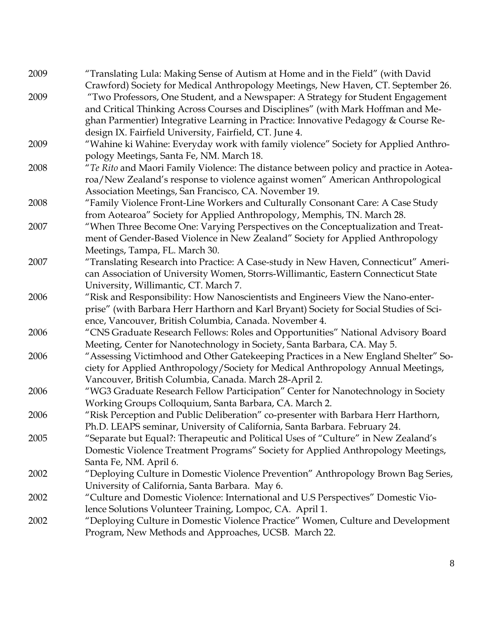| 2009 | "Translating Lula: Making Sense of Autism at Home and in the Field" (with David        |
|------|----------------------------------------------------------------------------------------|
|      | Crawford) Society for Medical Anthropology Meetings, New Haven, CT. September 26.      |
| 2009 | "Two Professors, One Student, and a Newspaper: A Strategy for Student Engagement       |
|      | and Critical Thinking Across Courses and Disciplines" (with Mark Hoffman and Me-       |
|      | ghan Parmentier) Integrative Learning in Practice: Innovative Pedagogy & Course Re-    |
|      | design IX. Fairfield University, Fairfield, CT. June 4.                                |
| 2009 | "Wahine ki Wahine: Everyday work with family violence" Society for Applied Anthro-     |
|      | pology Meetings, Santa Fe, NM. March 18.                                               |
| 2008 | "Te Rito and Maori Family Violence: The distance between policy and practice in Aotea- |
|      | roa/New Zealand's response to violence against women" American Anthropological         |
|      | Association Meetings, San Francisco, CA. November 19.                                  |
| 2008 | "Family Violence Front-Line Workers and Culturally Consonant Care: A Case Study        |
|      | from Aotearoa" Society for Applied Anthropology, Memphis, TN. March 28.                |
| 2007 | "When Three Become One: Varying Perspectives on the Conceptualization and Treat-       |
|      | ment of Gender-Based Violence in New Zealand" Society for Applied Anthropology         |
|      | Meetings, Tampa, FL. March 30.                                                         |
| 2007 | "Translating Research into Practice: A Case-study in New Haven, Connecticut" Ameri-    |
|      | can Association of University Women, Storrs-Willimantic, Eastern Connecticut State     |
|      | University, Willimantic, CT. March 7.                                                  |
| 2006 | "Risk and Responsibility: How Nanoscientists and Engineers View the Nano-enter-        |
|      | prise" (with Barbara Herr Harthorn and Karl Bryant) Society for Social Studies of Sci- |
|      | ence, Vancouver, British Columbia, Canada. November 4.                                 |
| 2006 | "CNS Graduate Research Fellows: Roles and Opportunities" National Advisory Board       |
|      | Meeting, Center for Nanotechnology in Society, Santa Barbara, CA. May 5.               |
| 2006 | "Assessing Victimhood and Other Gatekeeping Practices in a New England Shelter" So-    |
|      | ciety for Applied Anthropology/Society for Medical Anthropology Annual Meetings,       |
|      | Vancouver, British Columbia, Canada. March 28-April 2.                                 |
| 2006 | "WG3 Graduate Research Fellow Participation" Center for Nanotechnology in Society      |
|      | Working Groups Colloquium, Santa Barbara, CA. March 2.                                 |
| 2006 | "Risk Perception and Public Deliberation" co-presenter with Barbara Herr Harthorn,     |
|      | Ph.D. LEAPS seminar, University of California, Santa Barbara. February 24.             |
| 2005 | "Separate but Equal?: Therapeutic and Political Uses of "Culture" in New Zealand's     |
|      | Domestic Violence Treatment Programs" Society for Applied Anthropology Meetings,       |
|      | Santa Fe, NM. April 6.                                                                 |
| 2002 | "Deploying Culture in Domestic Violence Prevention" Anthropology Brown Bag Series,     |
|      | University of California, Santa Barbara. May 6.                                        |
| 2002 | "Culture and Domestic Violence: International and U.S Perspectives" Domestic Vio-      |
|      | lence Solutions Volunteer Training, Lompoc, CA. April 1.                               |
| 2002 | "Deploying Culture in Domestic Violence Practice" Women, Culture and Development       |
|      | Program, New Methods and Approaches, UCSB. March 22.                                   |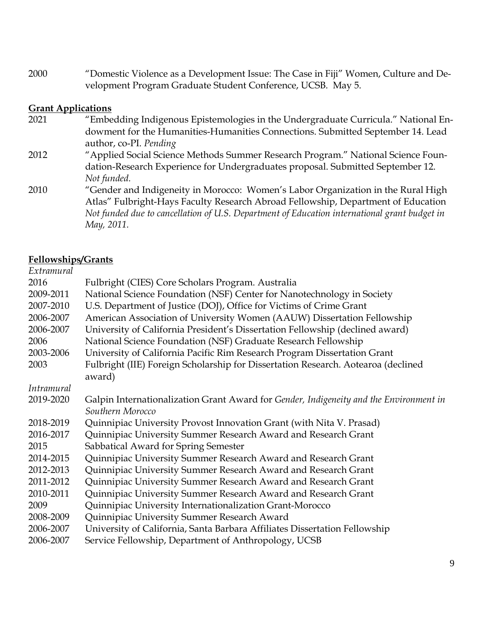2000 "Domestic Violence as a Development Issue: The Case in Fiji" Women, Culture and Development Program Graduate Student Conference, UCSB. May 5.

#### **Grant Applications**

- 2021 "Embedding Indigenous Epistemologies in the Undergraduate Curricula." National Endowment for the Humanities-Humanities Connections. Submitted September 14. Lead author, co-PI. *Pending*
- 2012 "Applied Social Science Methods Summer Research Program." National Science Foundation-Research Experience for Undergraduates proposal. Submitted September 12. *Not funded.*
- 2010 "Gender and Indigeneity in Morocco: Women's Labor Organization in the Rural High Atlas" Fulbright-Hays Faculty Research Abroad Fellowship, Department of Education *Not funded due to cancellation of U.S. Department of Education international grant budget in May, 2011.*

#### **Fellowships/Grants**

| Fulbright (CIES) Core Scholars Program. Australia                                                          |
|------------------------------------------------------------------------------------------------------------|
| National Science Foundation (NSF) Center for Nanotechnology in Society                                     |
| U.S. Department of Justice (DOJ), Office for Victims of Crime Grant                                        |
| American Association of University Women (AAUW) Dissertation Fellowship                                    |
| University of California President's Dissertation Fellowship (declined award)                              |
| National Science Foundation (NSF) Graduate Research Fellowship                                             |
| University of California Pacific Rim Research Program Dissertation Grant                                   |
| Fulbright (IIE) Foreign Scholarship for Dissertation Research. Aotearoa (declined<br>award)                |
|                                                                                                            |
| Galpin Internationalization Grant Award for Gender, Indigeneity and the Environment in<br>Southern Morocco |
| Quinnipiac University Provost Innovation Grant (with Nita V. Prasad)                                       |
| Quinnipiac University Summer Research Award and Research Grant                                             |
| Sabbatical Award for Spring Semester                                                                       |
| Quinnipiac University Summer Research Award and Research Grant                                             |
| Quinnipiac University Summer Research Award and Research Grant                                             |
| Quinnipiac University Summer Research Award and Research Grant                                             |
| Quinnipiac University Summer Research Award and Research Grant                                             |
| Quinnipiac University Internationalization Grant-Morocco                                                   |
| Quinnipiac University Summer Research Award                                                                |
| University of California, Santa Barbara Affiliates Dissertation Fellowship                                 |
| Service Fellowship, Department of Anthropology, UCSB                                                       |
|                                                                                                            |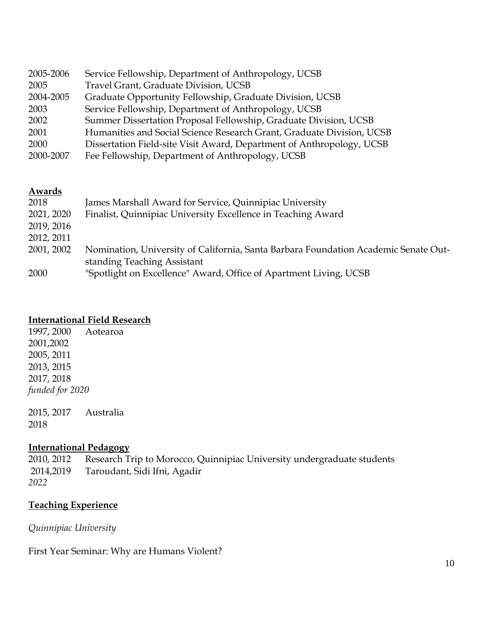| 2005-2006 | Service Fellowship, Department of Anthropology, UCSB                  |
|-----------|-----------------------------------------------------------------------|
| 2005      | Travel Grant, Graduate Division, UCSB                                 |
| 2004-2005 | Graduate Opportunity Fellowship, Graduate Division, UCSB              |
| 2003      | Service Fellowship, Department of Anthropology, UCSB                  |
| 2002      | Summer Dissertation Proposal Fellowship, Graduate Division, UCSB      |
| 2001      | Humanities and Social Science Research Grant, Graduate Division, UCSB |
| 2000      | Dissertation Field-site Visit Award, Department of Anthropology, UCSB |
| 2000-2007 | Fee Fellowship, Department of Anthropology, UCSB                      |
|           |                                                                       |

#### **Awards**

| 2018       | James Marshall Award for Service, Quinnipiac University                             |
|------------|-------------------------------------------------------------------------------------|
| 2021, 2020 | Finalist, Quinnipiac University Excellence in Teaching Award                        |
| 2019, 2016 |                                                                                     |
| 2012, 2011 |                                                                                     |
| 2001, 2002 | Nomination, University of California, Santa Barbara Foundation Academic Senate Out- |
|            | standing Teaching Assistant                                                         |
| 2000       | "Spotlight on Excellence" Award, Office of Apartment Living, UCSB                   |

#### **International Field Research**

1997, 2000 Aotearoa 2001,2002 2005, 2011 2013, 2015 2017, 2018 *funded for 2020*

2015, 2017 Australia 2018

#### **International Pedagogy**

2010, 2012 Research Trip to Morocco, Quinnipiac University undergraduate students 2014,2019 Taroudant, Sidi Ifni, Agadir *2022*

#### **Teaching Experience**

*Quinnipiac University*

First Year Seminar: Why are Humans Violent?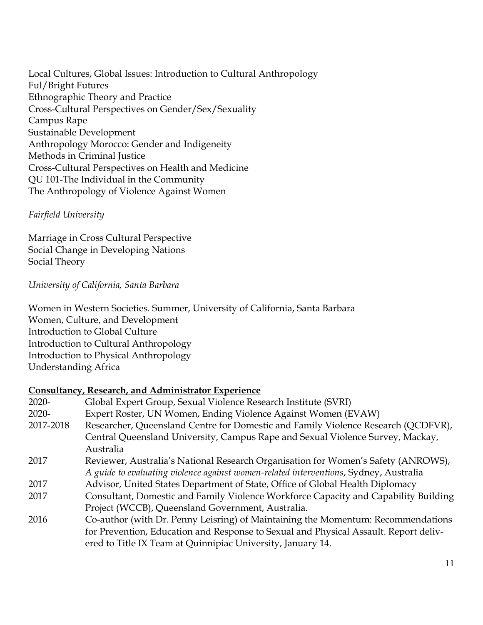Local Cultures, Global Issues: Introduction to Cultural Anthropology Ful/Bright Futures Ethnographic Theory and Practice Cross-Cultural Perspectives on Gender/Sex/Sexuality Campus Rape Sustainable Development Anthropology Morocco: Gender and Indigeneity Methods in Criminal Justice Cross-Cultural Perspectives on Health and Medicine QU 101-The Individual in the Community The Anthropology of Violence Against Women

# *Fairfield University*

Marriage in Cross Cultural Perspective Social Change in Developing Nations Social Theory

*University of California, Santa Barbara*

Women in Western Societies. Summer, University of California, Santa Barbara Women, Culture, and Development Introduction to Global Culture Introduction to Cultural Anthropology Introduction to Physical Anthropology Understanding Africa

#### **Consultancy, Research, and Administrator Experience**

| $2020 -$  | Global Expert Group, Sexual Violence Research Institute (SVRI)                        |
|-----------|---------------------------------------------------------------------------------------|
| $2020 -$  | Expert Roster, UN Women, Ending Violence Against Women (EVAW)                         |
| 2017-2018 | Researcher, Queensland Centre for Domestic and Family Violence Research (QCDFVR),     |
|           | Central Queensland University, Campus Rape and Sexual Violence Survey, Mackay,        |
|           | Australia                                                                             |
| 2017      | Reviewer, Australia's National Research Organisation for Women's Safety (ANROWS),     |
|           | A guide to evaluating violence against women-related interventions, Sydney, Australia |
| 2017      | Advisor, United States Department of State, Office of Global Health Diplomacy         |
| 2017      | Consultant, Domestic and Family Violence Workforce Capacity and Capability Building   |
|           | Project (WCCB), Queensland Government, Australia.                                     |
| 2016      | Co-author (with Dr. Penny Leisring) of Maintaining the Momentum: Recommendations      |
|           | for Prevention, Education and Response to Sexual and Physical Assault. Report deliv-  |
|           | ered to Title IX Team at Quinnipiac University, January 14.                           |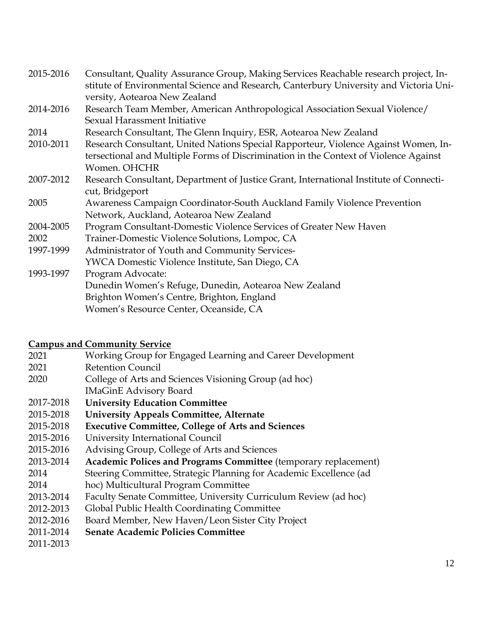| 2015-2016 | Consultant, Quality Assurance Group, Making Services Reachable research project, In-   |
|-----------|----------------------------------------------------------------------------------------|
|           | stitute of Environmental Science and Research, Canterbury University and Victoria Uni- |
|           | versity, Aotearoa New Zealand                                                          |
| 2014-2016 | Research Team Member, American Anthropological Association Sexual Violence/            |
|           | Sexual Harassment Initiative                                                           |
| 2014      | Research Consultant, The Glenn Inquiry, ESR, Aotearoa New Zealand                      |
| 2010-2011 | Research Consultant, United Nations Special Rapporteur, Violence Against Women, In-    |
|           | tersectional and Multiple Forms of Discrimination in the Context of Violence Against   |
|           | Women. OHCHR                                                                           |
| 2007-2012 | Research Consultant, Department of Justice Grant, International Institute of Connecti- |
|           | cut, Bridgeport                                                                        |
| 2005      | Awareness Campaign Coordinator-South Auckland Family Violence Prevention               |
|           | Network, Auckland, Aotearoa New Zealand                                                |
| 2004-2005 | Program Consultant-Domestic Violence Services of Greater New Haven                     |
| 2002      | Trainer-Domestic Violence Solutions, Lompoc, CA                                        |
| 1997-1999 | Administrator of Youth and Community Services-                                         |
|           | YWCA Domestic Violence Institute, San Diego, CA                                        |
| 1993-1997 | Program Advocate:                                                                      |
|           | Dunedin Women's Refuge, Dunedin, Aotearoa New Zealand                                  |
|           | Brighton Women's Centre, Brighton, England                                             |
|           | Women's Resource Center, Oceanside, CA                                                 |
|           |                                                                                        |

#### **Campus and Community Service**

- 2021 2021 2020 Working Group for Engaged Learning and Career Development Retention Council College of Arts and Sciences Visioning Group (ad hoc)
- IMaGinE Advisory Board
- 2017-2018 **University Education Committee**
- 2015-2018 **University Appeals Committee, Alternate**
- 2015-2018 **Executive Committee, College of Arts and Sciences**
- 2015-2016 University International Council
- 2015-2016 Advising Group, College of Arts and Sciences
- 2013-2014 **Academic Polices and Programs Committee** (temporary replacement)
- 2014 Steering Committee, Strategic Planning for Academic Excellence (ad
- 2014 hoc) Multicultural Program Committee
- 2013-2014 Faculty Senate Committee, University Curriculum Review (ad hoc)
- 2012-2013 Global Public Health Coordinating Committee
- 2012-2016 Board Member, New Haven/Leon Sister City Project
- 2011-2014 **Senate Academic Policies Committee**
- 2011-2013